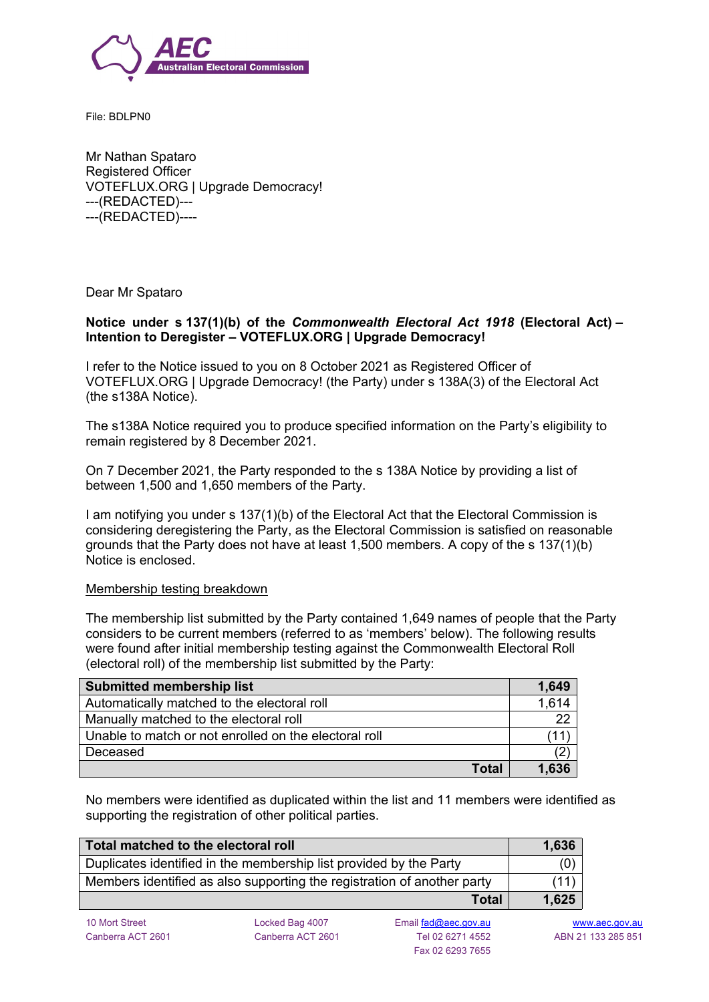

File: BDLPN0

Mr Nathan Spataro Registered Officer VOTEFLUX.ORG | Upgrade Democracy! ---(REDACTED)--- ---(REDACTED)----

Dear Mr Spataro

## **Notice under s 137(1)(b) of the** *Commonwealth Electoral Act 1918* **(Electoral Act) – Intention to Deregister – VOTEFLUX.ORG | Upgrade Democracy!**

I refer to the Notice issued to you on 8 October 2021 as Registered Officer of VOTEFLUX.ORG | Upgrade Democracy! (the Party) under s 138A(3) of the Electoral Act (the s138A Notice).

The s138A Notice required you to produce specified information on the Party's eligibility to remain registered by 8 December 2021.

On 7 December 2021, the Party responded to the s 138A Notice by providing a list of between 1,500 and 1,650 members of the Party.

I am notifying you under s 137(1)(b) of the Electoral Act that the Electoral Commission is considering deregistering the Party, as the Electoral Commission is satisfied on reasonable grounds that the Party does not have at least 1,500 members. A copy of the s 137(1)(b) Notice is enclosed.

#### Membership testing breakdown

The membership list submitted by the Party contained 1,649 names of people that the Party considers to be current members (referred to as 'members' below). The following results were found after initial membership testing against the Commonwealth Electoral Roll (electoral roll) of the membership list submitted by the Party:

| <b>Submitted membership list</b>                      | 1,649 |
|-------------------------------------------------------|-------|
| Automatically matched to the electoral roll           | 1.614 |
| Manually matched to the electoral roll                | 22    |
| Unable to match or not enrolled on the electoral roll |       |
| Deceased                                              |       |
| <b>Total</b>                                          | 1,636 |

No members were identified as duplicated within the list and 11 members were identified as supporting the registration of other political parties.

| Total matched to the electoral roll                                     | 1,636 |
|-------------------------------------------------------------------------|-------|
| Duplicates identified in the membership list provided by the Party      | (0)   |
| Members identified as also supporting the registration of another party | (11)  |
| Total                                                                   | 1,625 |

10 Mort Street **Locked Bag 4007** Email [fad@aec.gov.au](mailto:fad@aec.gov.au) [www.aec.gov.au](http://www.aec.gov.au) Fax 02 6293 7655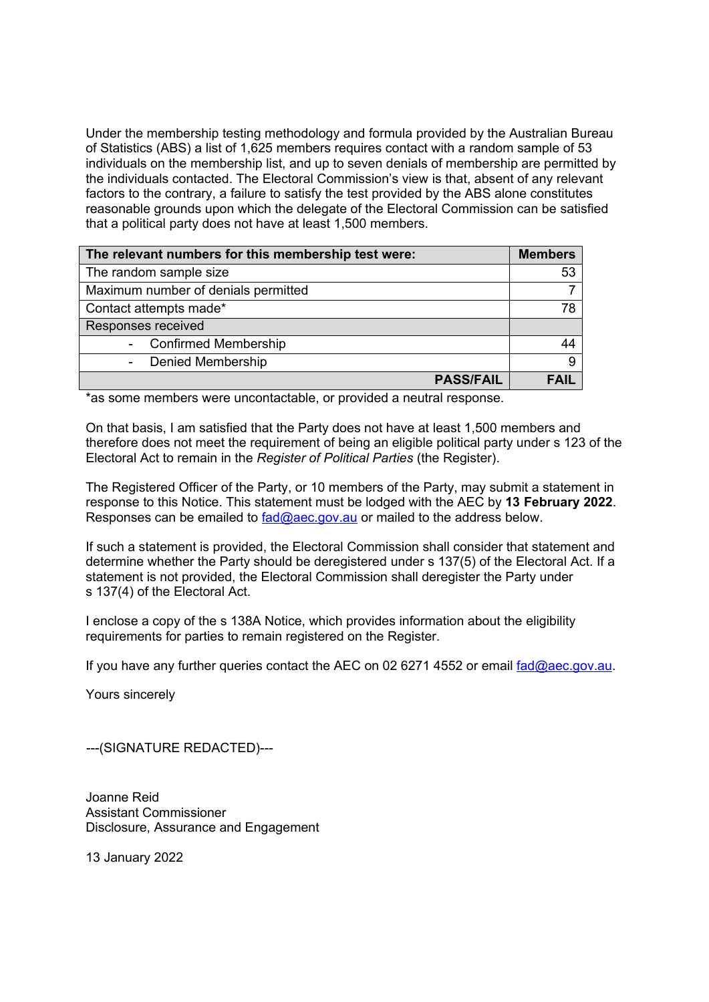Under the membership testing methodology and formula provided by the Australian Bureau of Statistics (ABS) a list of 1,625 members requires contact with a random sample of 53 individuals on the membership list, and up to seven denials of membership are permitted by the individuals contacted. The Electoral Commission's view is that, absent of any relevant factors to the contrary, a failure to satisfy the test provided by the ABS alone constitutes reasonable grounds upon which the delegate of the Electoral Commission can be satisfied that a political party does not have at least 1,500 members.

| The relevant numbers for this membership test were: | <b>Members</b> |
|-----------------------------------------------------|----------------|
| The random sample size                              | 53             |
| Maximum number of denials permitted                 |                |
| Contact attempts made*                              | 78             |
| Responses received                                  |                |
| <b>Confirmed Membership</b><br>$\blacksquare$       | 44             |
| <b>Denied Membership</b><br>$\blacksquare$          | 9              |
| <b>PASS/FAIL</b>                                    | FAIL           |

\*as some members were uncontactable, or provided a neutral response.

On that basis, I am satisfied that the Party does not have at least 1,500 members and therefore does not meet the requirement of being an eligible political party under s 123 of the Electoral Act to remain in the *Register of Political Parties* (the Register).

The Registered Officer of the Party, or 10 members of the Party, may submit a statement in response to this Notice. This statement must be lodged with the AEC by **13 February 2022**. Responses can be emailed to [fad@aec.gov.au](mailto:fad@aec.gov.au) or mailed to the address below.

If such a statement is provided, the Electoral Commission shall consider that statement and determine whether the Party should be deregistered under s 137(5) of the Electoral Act. If a statement is not provided, the Electoral Commission shall deregister the Party under s 137(4) of the Electoral Act.

I enclose a copy of the s 138A Notice, which provides information about the eligibility requirements for parties to remain registered on the Register.

If you have any further queries contact the AEC on 02 6271 4552 or email  $f_{ad}$ @aec.gov.au.

Yours sincerely

---(SIGNATURE REDACTED)---

Joanne Reid Assistant Commissioner Disclosure, Assurance and Engagement

13 January 2022